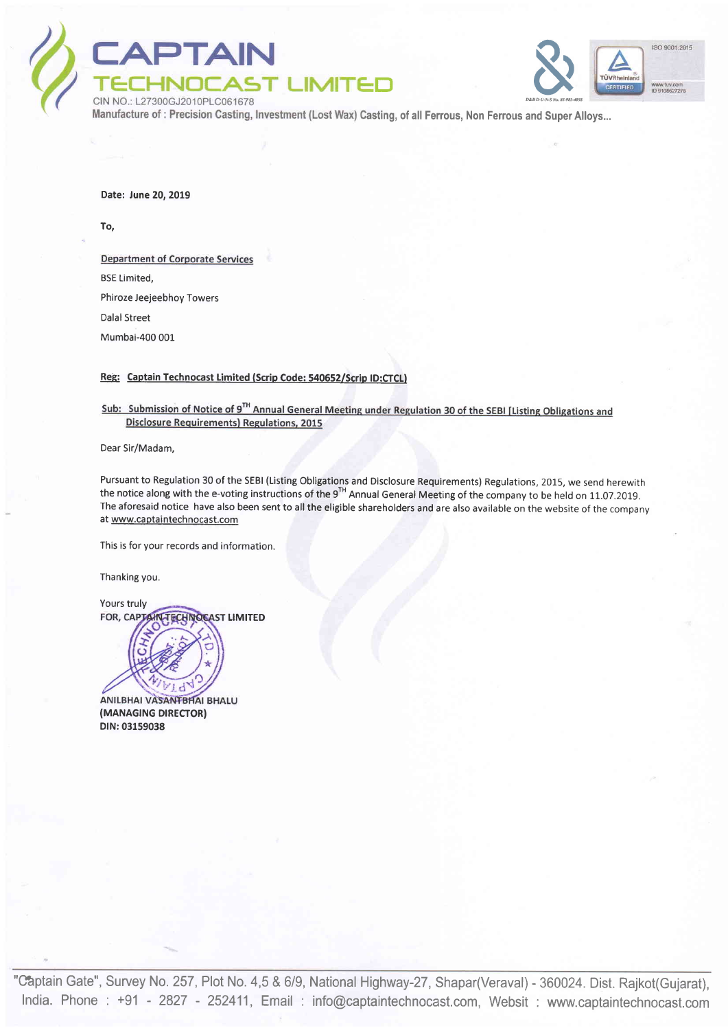



asting, of all Ferrous, Non Ferrous and Super Alloys..

Date: June 20, 2019

To,

**Department of Corporate Services** BSE Limited, Phiroze Jeejeebhoy Towers Dalal Street Mumbai-400 00L

Reg: Captain Technocast Limited (Scrip Code: 540652/Scrip ID:CTCL)

Sub: Submission of Notice of 9<sup>TH</sup> Annual General Meeting under Regulation 30 of the SEBI [Listing Obligations and **Disclosure Requirements) Regulations, 2015** 

Dear Sir/Madam,

Pursuant to Regulation 30 of the SEBI (Listing Obligations and Disclosure Requirements) Regulations, 2015, we send herewith the notice along with the e-voting instructions of the 9'<sup>H</sup> Annual General Meeting of the company to be held on 11.07.2019 The aforesaid notice have also been sent to all the eligible shareholders and are also available on the website of the company at www.captaintechnocast.com

This is for your records and information.

Thanking you.

Yours truly FOR, CAP **ECHNOCAST LIMITED** 



ANILBHAI VASANTBHAI BHALU (MANAGING DIRECTOR) DIN:03159038

"Captain Gate", Survey No. 257, Plot No. 4,5 & 6/9, National Highway-27, Shapar(Veraval) - 360024. Dist. Rajkot(Gujarat) India. Phone : +91 - 2827 - 252411, Email : info@captaintechnocast.com, Websit : www.captaintechnocast.com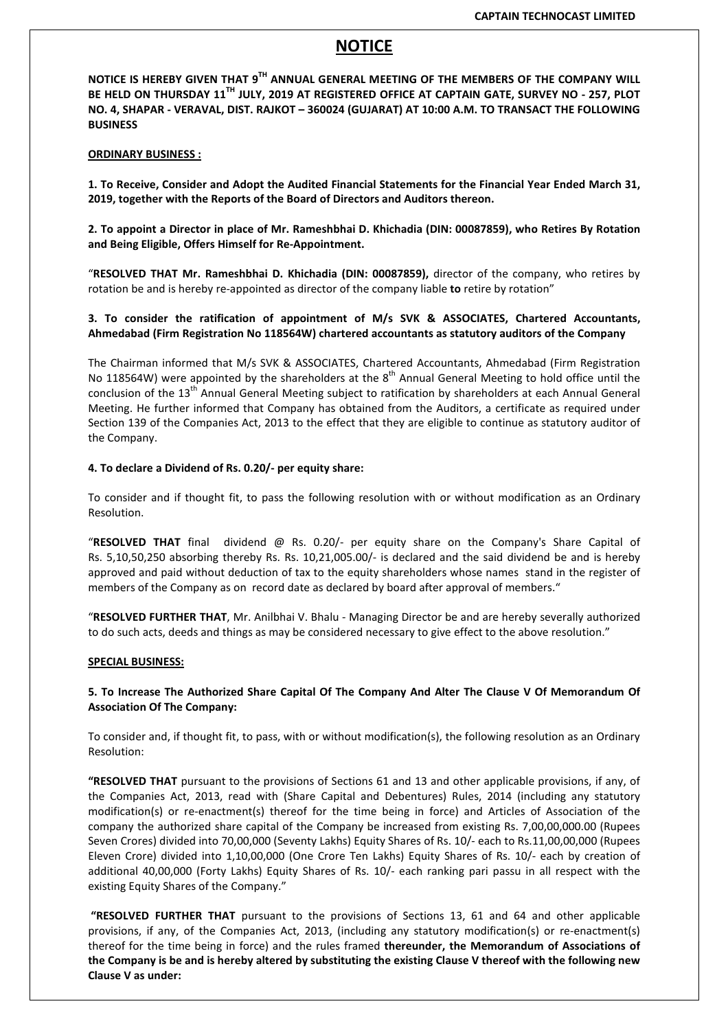# NOTICE

NOTICE IS HEREBY GIVEN THAT 9TH ANNUAL GENERAL MEETING OF THE MEMBERS OF THE COMPANY WILL BE HELD ON THURSDAY 11<sup>TH</sup> JULY, 2019 AT REGISTERED OFFICE AT CAPTAIN GATE, SURVEY NO - 257, PLOT NO. 4, SHAPAR - VERAVAL, DIST. RAJKOT – 360024 (GUJARAT) AT 10:00 A.M. TO TRANSACT THE FOLLOWING BUSINESS

### ORDINARY BUSINESS :

1. To Receive, Consider and Adopt the Audited Financial Statements for the Financial Year Ended March 31, 2019, together with the Reports of the Board of Directors and Auditors thereon.

2. To appoint a Director in place of Mr. Rameshbhai D. Khichadia (DIN: 00087859), who Retires By Rotation and Being Eligible, Offers Himself for Re-Appointment.

"RESOLVED THAT Mr. Rameshbhai D. Khichadia (DIN: 00087859), director of the company, who retires by rotation be and is hereby re-appointed as director of the company liable to retire by rotation"

### 3. To consider the ratification of appointment of M/s SVK & ASSOCIATES, Chartered Accountants, Ahmedabad (Firm Registration No 118564W) chartered accountants as statutory auditors of the Company

The Chairman informed that M/s SVK & ASSOCIATES, Chartered Accountants, Ahmedabad (Firm Registration No 118564W) were appointed by the shareholders at the  $8<sup>th</sup>$  Annual General Meeting to hold office until the conclusion of the 13<sup>th</sup> Annual General Meeting subject to ratification by shareholders at each Annual General Meeting. He further informed that Company has obtained from the Auditors, a certificate as required under Section 139 of the Companies Act, 2013 to the effect that they are eligible to continue as statutory auditor of the Company.

### 4. To declare a Dividend of Rs. 0.20/- per equity share:

To consider and if thought fit, to pass the following resolution with or without modification as an Ordinary Resolution.

"RESOLVED THAT final dividend @ Rs. 0.20/- per equity share on the Company's Share Capital of Rs. 5,10,50,250 absorbing thereby Rs. Rs. 10,21,005.00/- is declared and the said dividend be and is hereby approved and paid without deduction of tax to the equity shareholders whose names stand in the register of members of the Company as on record date as declared by board after approval of members."

"RESOLVED FURTHER THAT, Mr. Anilbhai V. Bhalu - Managing Director be and are hereby severally authorized to do such acts, deeds and things as may be considered necessary to give effect to the above resolution."

#### SPECIAL BUSINESS:

# 5. To Increase The Authorized Share Capital Of The Company And Alter The Clause V Of Memorandum Of Association Of The Company:

To consider and, if thought fit, to pass, with or without modification(s), the following resolution as an Ordinary Resolution:

"RESOLVED THAT pursuant to the provisions of Sections 61 and 13 and other applicable provisions, if any, of the Companies Act, 2013, read with (Share Capital and Debentures) Rules, 2014 (including any statutory modification(s) or re-enactment(s) thereof for the time being in force) and Articles of Association of the company the authorized share capital of the Company be increased from existing Rs. 7,00,00,000.00 (Rupees Seven Crores) divided into 70,00,000 (Seventy Lakhs) Equity Shares of Rs. 10/- each to Rs.11,00,00,000 (Rupees Eleven Crore) divided into 1,10,00,000 (One Crore Ten Lakhs) Equity Shares of Rs. 10/- each by creation of additional 40,00,000 (Forty Lakhs) Equity Shares of Rs. 10/- each ranking pari passu in all respect with the existing Equity Shares of the Company."

 "RESOLVED FURTHER THAT pursuant to the provisions of Sections 13, 61 and 64 and other applicable provisions, if any, of the Companies Act, 2013, (including any statutory modification(s) or re-enactment(s) thereof for the time being in force) and the rules framed thereunder, the Memorandum of Associations of the Company is be and is hereby altered by substituting the existing Clause V thereof with the following new Clause V as under: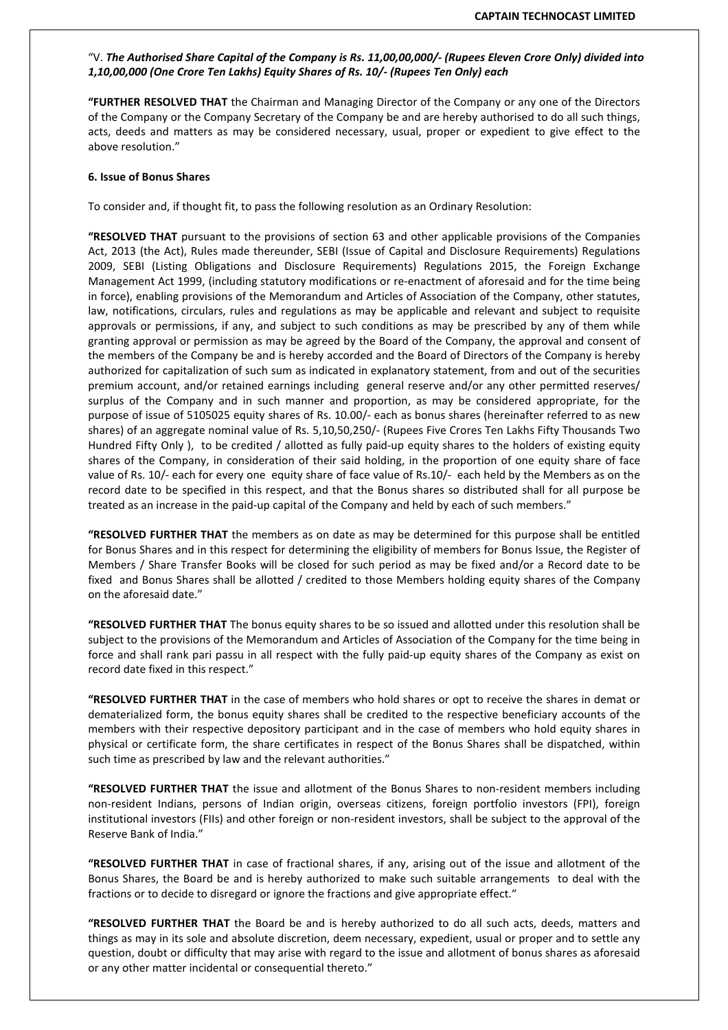### "V. The Authorised Share Capital of the Company is Rs. 11,00,00,000/- (Rupees Eleven Crore Only) divided into 1,10,00,000 (One Crore Ten Lakhs) Equity Shares of Rs. 10/- (Rupees Ten Only) each

"FURTHER RESOLVED THAT the Chairman and Managing Director of the Company or any one of the Directors of the Company or the Company Secretary of the Company be and are hereby authorised to do all such things, acts, deeds and matters as may be considered necessary, usual, proper or expedient to give effect to the above resolution."

#### 6. Issue of Bonus Shares

To consider and, if thought fit, to pass the following resolution as an Ordinary Resolution:

"RESOLVED THAT pursuant to the provisions of section 63 and other applicable provisions of the Companies Act, 2013 (the Act), Rules made thereunder, SEBI (Issue of Capital and Disclosure Requirements) Regulations 2009, SEBI (Listing Obligations and Disclosure Requirements) Regulations 2015, the Foreign Exchange Management Act 1999, (including statutory modifications or re-enactment of aforesaid and for the time being in force), enabling provisions of the Memorandum and Articles of Association of the Company, other statutes, law, notifications, circulars, rules and regulations as may be applicable and relevant and subject to requisite approvals or permissions, if any, and subject to such conditions as may be prescribed by any of them while granting approval or permission as may be agreed by the Board of the Company, the approval and consent of the members of the Company be and is hereby accorded and the Board of Directors of the Company is hereby authorized for capitalization of such sum as indicated in explanatory statement, from and out of the securities premium account, and/or retained earnings including general reserve and/or any other permitted reserves/ surplus of the Company and in such manner and proportion, as may be considered appropriate, for the purpose of issue of 5105025 equity shares of Rs. 10.00/- each as bonus shares (hereinafter referred to as new shares) of an aggregate nominal value of Rs. 5,10,50,250/- (Rupees Five Crores Ten Lakhs Fifty Thousands Two Hundred Fifty Only ), to be credited / allotted as fully paid-up equity shares to the holders of existing equity shares of the Company, in consideration of their said holding, in the proportion of one equity share of face value of Rs. 10/- each for every one equity share of face value of Rs.10/- each held by the Members as on the record date to be specified in this respect, and that the Bonus shares so distributed shall for all purpose be treated as an increase in the paid-up capital of the Company and held by each of such members."

"RESOLVED FURTHER THAT the members as on date as may be determined for this purpose shall be entitled for Bonus Shares and in this respect for determining the eligibility of members for Bonus Issue, the Register of Members / Share Transfer Books will be closed for such period as may be fixed and/or a Record date to be fixed and Bonus Shares shall be allotted / credited to those Members holding equity shares of the Company on the aforesaid date."

"RESOLVED FURTHER THAT The bonus equity shares to be so issued and allotted under this resolution shall be subject to the provisions of the Memorandum and Articles of Association of the Company for the time being in force and shall rank pari passu in all respect with the fully paid-up equity shares of the Company as exist on record date fixed in this respect."

"RESOLVED FURTHER THAT in the case of members who hold shares or opt to receive the shares in demat or dematerialized form, the bonus equity shares shall be credited to the respective beneficiary accounts of the members with their respective depository participant and in the case of members who hold equity shares in physical or certificate form, the share certificates in respect of the Bonus Shares shall be dispatched, within such time as prescribed by law and the relevant authorities."

"RESOLVED FURTHER THAT the issue and allotment of the Bonus Shares to non-resident members including non-resident Indians, persons of Indian origin, overseas citizens, foreign portfolio investors (FPI), foreign institutional investors (FIIs) and other foreign or non-resident investors, shall be subject to the approval of the Reserve Bank of India."

"RESOLVED FURTHER THAT in case of fractional shares, if any, arising out of the issue and allotment of the Bonus Shares, the Board be and is hereby authorized to make such suitable arrangements to deal with the fractions or to decide to disregard or ignore the fractions and give appropriate effect."

"RESOLVED FURTHER THAT the Board be and is hereby authorized to do all such acts, deeds, matters and things as may in its sole and absolute discretion, deem necessary, expedient, usual or proper and to settle any question, doubt or difficulty that may arise with regard to the issue and allotment of bonus shares as aforesaid or any other matter incidental or consequential thereto."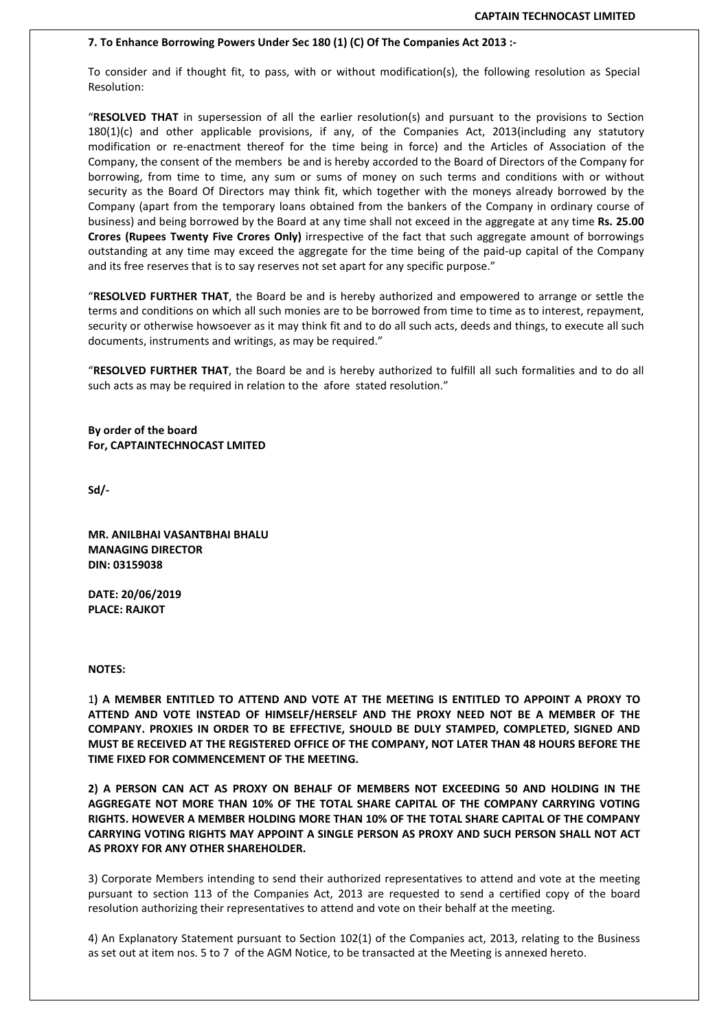#### 7. To Enhance Borrowing Powers Under Sec 180 (1) (C) Of The Companies Act 2013 :-

To consider and if thought fit, to pass, with or without modification(s), the following resolution as Special Resolution:

"RESOLVED THAT in supersession of all the earlier resolution(s) and pursuant to the provisions to Section 180(1)(c) and other applicable provisions, if any, of the Companies Act, 2013(including any statutory modification or re-enactment thereof for the time being in force) and the Articles of Association of the Company, the consent of the members be and is hereby accorded to the Board of Directors of the Company for borrowing, from time to time, any sum or sums of money on such terms and conditions with or without security as the Board Of Directors may think fit, which together with the moneys already borrowed by the Company (apart from the temporary loans obtained from the bankers of the Company in ordinary course of business) and being borrowed by the Board at any time shall not exceed in the aggregate at any time Rs. 25.00 Crores (Rupees Twenty Five Crores Only) irrespective of the fact that such aggregate amount of borrowings outstanding at any time may exceed the aggregate for the time being of the paid-up capital of the Company and its free reserves that is to say reserves not set apart for any specific purpose."

"RESOLVED FURTHER THAT, the Board be and is hereby authorized and empowered to arrange or settle the terms and conditions on which all such monies are to be borrowed from time to time as to interest, repayment, security or otherwise howsoever as it may think fit and to do all such acts, deeds and things, to execute all such documents, instruments and writings, as may be required."

"RESOLVED FURTHER THAT, the Board be and is hereby authorized to fulfill all such formalities and to do all such acts as may be required in relation to the afore stated resolution."

By order of the board For, CAPTAINTECHNOCAST LMITED

Sd/-

MR. ANILBHAI VASANTBHAI BHALU MANAGING DIRECTOR DIN: 03159038

DATE: 20/06/2019 PLACE: RAJKOT

NOTES:

1) A MEMBER ENTITLED TO ATTEND AND VOTE AT THE MEETING IS ENTITLED TO APPOINT A PROXY TO ATTEND AND VOTE INSTEAD OF HIMSELF/HERSELF AND THE PROXY NEED NOT BE A MEMBER OF THE COMPANY. PROXIES IN ORDER TO BE EFFECTIVE, SHOULD BE DULY STAMPED, COMPLETED, SIGNED AND MUST BE RECEIVED AT THE REGISTERED OFFICE OF THE COMPANY, NOT LATER THAN 48 HOURS BEFORE THE TIME FIXED FOR COMMENCEMENT OF THE MEETING.

2) A PERSON CAN ACT AS PROXY ON BEHALF OF MEMBERS NOT EXCEEDING 50 AND HOLDING IN THE AGGREGATE NOT MORE THAN 10% OF THE TOTAL SHARE CAPITAL OF THE COMPANY CARRYING VOTING RIGHTS. HOWEVER A MEMBER HOLDING MORE THAN 10% OF THE TOTAL SHARE CAPITAL OF THE COMPANY CARRYING VOTING RIGHTS MAY APPOINT A SINGLE PERSON AS PROXY AND SUCH PERSON SHALL NOT ACT AS PROXY FOR ANY OTHER SHAREHOLDER.

3) Corporate Members intending to send their authorized representatives to attend and vote at the meeting pursuant to section 113 of the Companies Act, 2013 are requested to send a certified copy of the board resolution authorizing their representatives to attend and vote on their behalf at the meeting.

4) An Explanatory Statement pursuant to Section 102(1) of the Companies act, 2013, relating to the Business as set out at item nos. 5 to 7 of the AGM Notice, to be transacted at the Meeting is annexed hereto.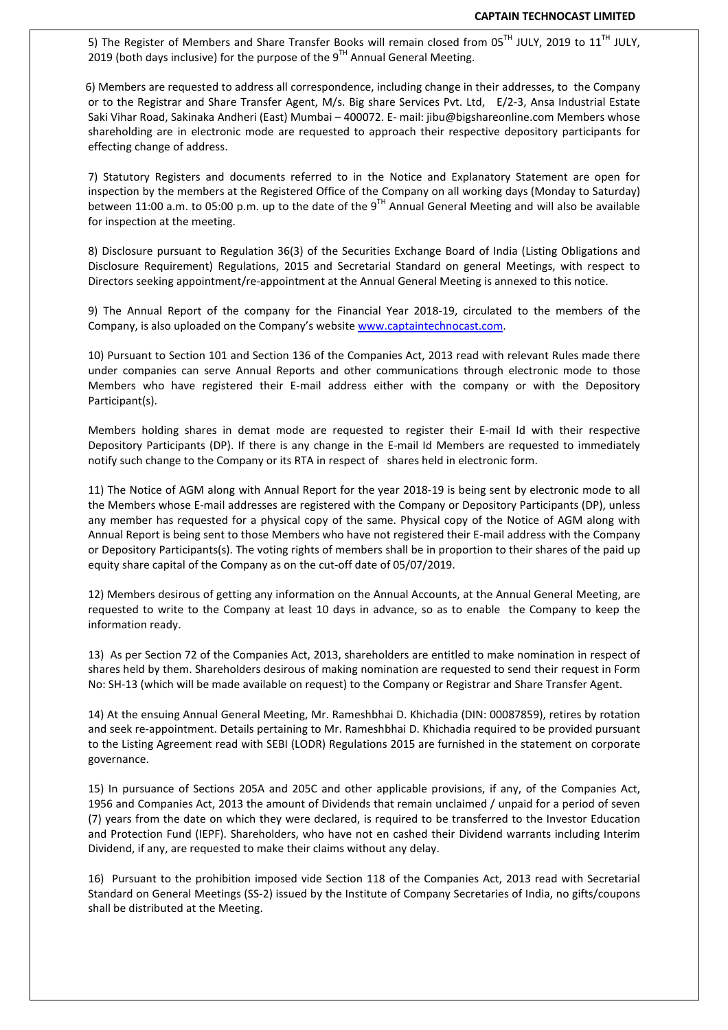5) The Register of Members and Share Transfer Books will remain closed from 05<sup>TH</sup> JULY, 2019 to 11<sup>TH</sup> JULY, 2019 (both days inclusive) for the purpose of the  $9^{TH}$  Annual General Meeting.

 6) Members are requested to address all correspondence, including change in their addresses, to the Company or to the Registrar and Share Transfer Agent, M/s. Big share Services Pvt. Ltd, E/2-3, Ansa Industrial Estate Saki Vihar Road, Sakinaka Andheri (East) Mumbai – 400072. E- mail: jibu@bigshareonline.com Members whose shareholding are in electronic mode are requested to approach their respective depository participants for effecting change of address.

7) Statutory Registers and documents referred to in the Notice and Explanatory Statement are open for inspection by the members at the Registered Office of the Company on all working days (Monday to Saturday) between 11:00 a.m. to 05:00 p.m. up to the date of the 9TH Annual General Meeting and will also be available for inspection at the meeting.

8) Disclosure pursuant to Regulation 36(3) of the Securities Exchange Board of India (Listing Obligations and Disclosure Requirement) Regulations, 2015 and Secretarial Standard on general Meetings, with respect to Directors seeking appointment/re-appointment at the Annual General Meeting is annexed to this notice.

9) The Annual Report of the company for the Financial Year 2018-19, circulated to the members of the Company, is also uploaded on the Company's website www.captaintechnocast.com.

10) Pursuant to Section 101 and Section 136 of the Companies Act, 2013 read with relevant Rules made there under companies can serve Annual Reports and other communications through electronic mode to those Members who have registered their E-mail address either with the company or with the Depository Participant(s).

Members holding shares in demat mode are requested to register their E-mail Id with their respective Depository Participants (DP). If there is any change in the E-mail Id Members are requested to immediately notify such change to the Company or its RTA in respect of shares held in electronic form.

11) The Notice of AGM along with Annual Report for the year 2018-19 is being sent by electronic mode to all the Members whose E-mail addresses are registered with the Company or Depository Participants (DP), unless any member has requested for a physical copy of the same. Physical copy of the Notice of AGM along with Annual Report is being sent to those Members who have not registered their E-mail address with the Company or Depository Participants(s). The voting rights of members shall be in proportion to their shares of the paid up equity share capital of the Company as on the cut-off date of 05/07/2019.

12) Members desirous of getting any information on the Annual Accounts, at the Annual General Meeting, are requested to write to the Company at least 10 days in advance, so as to enable the Company to keep the information ready.

13) As per Section 72 of the Companies Act, 2013, shareholders are entitled to make nomination in respect of shares held by them. Shareholders desirous of making nomination are requested to send their request in Form No: SH-13 (which will be made available on request) to the Company or Registrar and Share Transfer Agent.

14) At the ensuing Annual General Meeting, Mr. Rameshbhai D. Khichadia (DIN: 00087859), retires by rotation and seek re-appointment. Details pertaining to Mr. Rameshbhai D. Khichadia required to be provided pursuant to the Listing Agreement read with SEBI (LODR) Regulations 2015 are furnished in the statement on corporate governance.

15) In pursuance of Sections 205A and 205C and other applicable provisions, if any, of the Companies Act, 1956 and Companies Act, 2013 the amount of Dividends that remain unclaimed / unpaid for a period of seven (7) years from the date on which they were declared, is required to be transferred to the Investor Education and Protection Fund (IEPF). Shareholders, who have not en cashed their Dividend warrants including Interim Dividend, if any, are requested to make their claims without any delay.

16) Pursuant to the prohibition imposed vide Section 118 of the Companies Act, 2013 read with Secretarial Standard on General Meetings (SS-2) issued by the Institute of Company Secretaries of India, no gifts/coupons shall be distributed at the Meeting.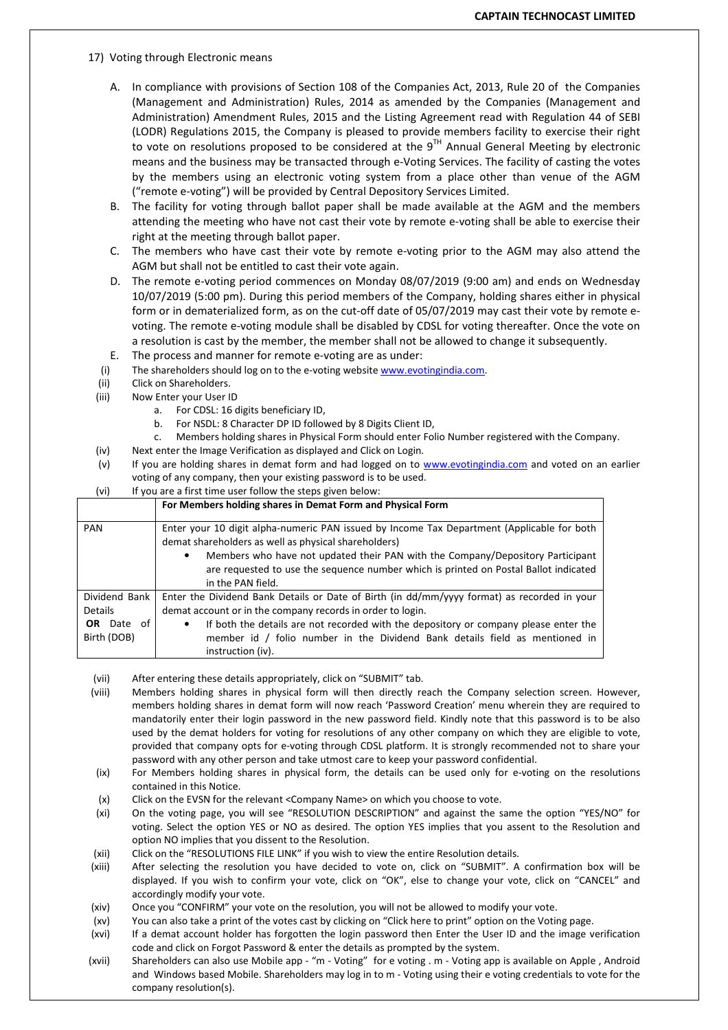- 17) Voting through Electronic means
	- A. In compliance with provisions of Section 108 of the Companies Act, 2013, Rule 20 of the Companies (Management and Administration) Rules, 2014 as amended by the Companies (Management and Administration) Amendment Rules, 2015 and the Listing Agreement read with Regulation 44 of SEBI (LODR) Regulations 2015, the Company is pleased to provide members facility to exercise their right to vote on resolutions proposed to be considered at the  $9<sup>TH</sup>$  Annual General Meeting by electronic means and the business may be transacted through e-Voting Services. The facility of casting the votes by the members using an electronic voting system from a place other than venue of the AGM ("remote e-voting") will be provided by Central Depository Services Limited.
	- B. The facility for voting through ballot paper shall be made available at the AGM and the members attending the meeting who have not cast their vote by remote e-voting shall be able to exercise their right at the meeting through ballot paper.
	- C. The members who have cast their vote by remote e-voting prior to the AGM may also attend the AGM but shall not be entitled to cast their vote again.
	- D. The remote e-voting period commences on Monday 08/07/2019 (9:00 am) and ends on Wednesday 10/07/2019 (5:00 pm). During this period members of the Company, holding shares either in physical form or in dematerialized form, as on the cut-off date of 05/07/2019 may cast their vote by remote evoting. The remote e-voting module shall be disabled by CDSL for voting thereafter. Once the vote on a resolution is cast by the member, the member shall not be allowed to change it subsequently.
	- E. The process and manner for remote e-voting are as under:
	- (i) The shareholders should log on to the e-voting website www.evotingindia.com.
	- (ii) Click on Shareholders.
	- (iii) Now Enter your User ID
		- a. For CDSL: 16 digits beneficiary ID,
		- b. For NSDL: 8 Character DP ID followed by 8 Digits Client ID,
		- c. Members holding shares in Physical Form should enter Folio Number registered with the Company.
- (iv) Next enter the Image Verification as displayed and Click on Login.
- (v) If you are holding shares in demat form and had logged on to www.evotingindia.com and voted on an earlier voting of any company, then your existing password is to be used.

| (vi)<br>If you are a first time user follow the steps given below: |  |
|--------------------------------------------------------------------|--|
|--------------------------------------------------------------------|--|

|                   | For Members holding shares in Demat Form and Physical Form                                                                                         |  |
|-------------------|----------------------------------------------------------------------------------------------------------------------------------------------------|--|
| <b>PAN</b>        | Enter your 10 digit alpha-numeric PAN issued by Income Tax Department (Applicable for both<br>demat shareholders as well as physical shareholders) |  |
|                   | Members who have not updated their PAN with the Company/Depository Participant<br>٠                                                                |  |
|                   | are requested to use the sequence number which is printed on Postal Ballot indicated<br>in the PAN field.                                          |  |
| Dividend Bank     | Enter the Dividend Bank Details or Date of Birth (in dd/mm/yyyy format) as recorded in your                                                        |  |
| <b>Details</b>    | demat account or in the company records in order to login.                                                                                         |  |
| <b>OR</b> Date of | If both the details are not recorded with the depository or company please enter the<br>٠                                                          |  |
| Birth (DOB)       | member id / folio number in the Dividend Bank details field as mentioned in                                                                        |  |
|                   | instruction (iv).                                                                                                                                  |  |

(vii) After entering these details appropriately, click on "SUBMIT" tab.

- (viii) Members holding shares in physical form will then directly reach the Company selection screen. However, members holding shares in demat form will now reach 'Password Creation' menu wherein they are required to mandatorily enter their login password in the new password field. Kindly note that this password is to be also used by the demat holders for voting for resolutions of any other company on which they are eligible to vote, provided that company opts for e-voting through CDSL platform. It is strongly recommended not to share your password with any other person and take utmost care to keep your password confidential.
- (ix) For Members holding shares in physical form, the details can be used only for e-voting on the resolutions contained in this Notice.
- (x) Click on the EVSN for the relevant <Company Name> on which you choose to vote.
- (xi) On the voting page, you will see "RESOLUTION DESCRIPTION" and against the same the option "YES/NO" for voting. Select the option YES or NO as desired. The option YES implies that you assent to the Resolution and option NO implies that you dissent to the Resolution.
- (xii) Click on the "RESOLUTIONS FILE LINK" if you wish to view the entire Resolution details.
- (xiii) After selecting the resolution you have decided to vote on, click on "SUBMIT". A confirmation box will be displayed. If you wish to confirm your vote, click on "OK", else to change your vote, click on "CANCEL" and accordingly modify your vote.
- (xiv) Once you "CONFIRM" your vote on the resolution, you will not be allowed to modify your vote.
- (xv) You can also take a print of the votes cast by clicking on "Click here to print" option on the Voting page.
- (xvi) If a demat account holder has forgotten the login password then Enter the User ID and the image verification code and click on Forgot Password & enter the details as prompted by the system.
- (xvii) Shareholders can also use Mobile app "m Voting" for e voting . m Voting app is available on Apple , Android and Windows based Mobile. Shareholders may log in to m - Voting using their e voting credentials to vote for the company resolution(s).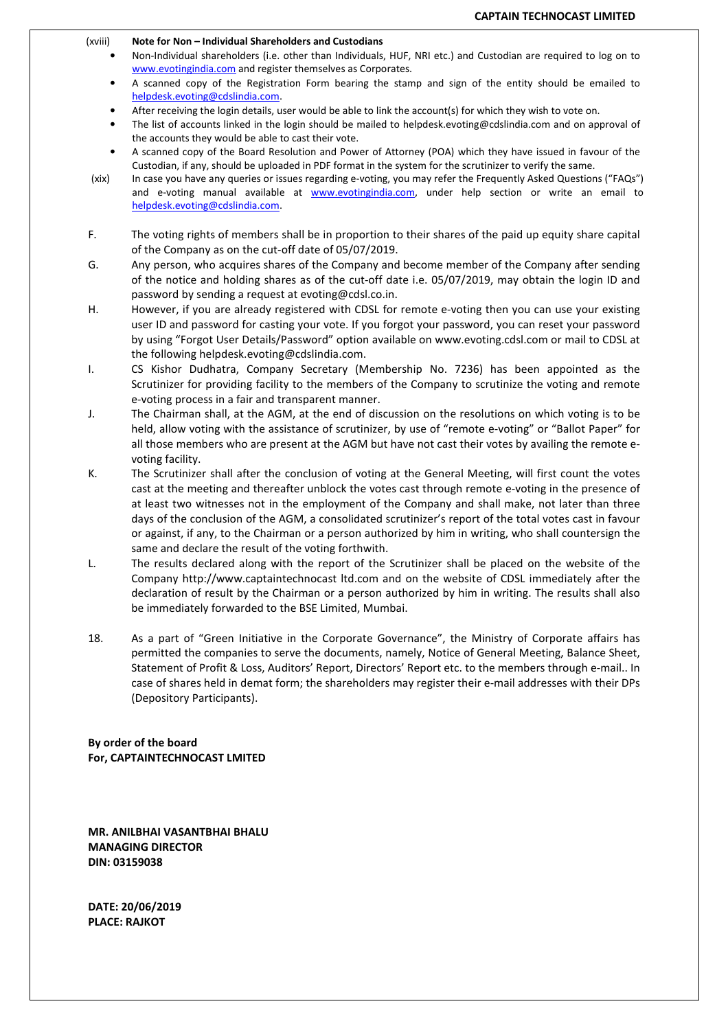(xviii) Note for Non – Individual Shareholders and Custodians

- Non-Individual shareholders (i.e. other than Individuals, HUF, NRI etc.) and Custodian are required to log on to www.evotingindia.com and register themselves as Corporates.
- A scanned copy of the Registration Form bearing the stamp and sign of the entity should be emailed to helpdesk.evoting@cdslindia.com.
- After receiving the login details, user would be able to link the account(s) for which they wish to vote on.
- The list of accounts linked in the login should be mailed to helpdesk.evoting@cdslindia.com and on approval of the accounts they would be able to cast their vote.
- A scanned copy of the Board Resolution and Power of Attorney (POA) which they have issued in favour of the Custodian, if any, should be uploaded in PDF format in the system for the scrutinizer to verify the same.
- (xix) In case you have any queries or issues regarding e-voting, you may refer the Frequently Asked Questions ("FAQs") and e-voting manual available at www.evotingindia.com, under help section or write an email to helpdesk.evoting@cdslindia.com.
- F. The voting rights of members shall be in proportion to their shares of the paid up equity share capital of the Company as on the cut-off date of 05/07/2019.
- G. Any person, who acquires shares of the Company and become member of the Company after sending of the notice and holding shares as of the cut-off date i.e. 05/07/2019, may obtain the login ID and password by sending a request at evoting@cdsl.co.in.
- H. However, if you are already registered with CDSL for remote e-voting then you can use your existing user ID and password for casting your vote. If you forgot your password, you can reset your password by using "Forgot User Details/Password" option available on www.evoting.cdsl.com or mail to CDSL at the following helpdesk.evoting@cdslindia.com.
- I. CS Kishor Dudhatra, Company Secretary (Membership No. 7236) has been appointed as the Scrutinizer for providing facility to the members of the Company to scrutinize the voting and remote e-voting process in a fair and transparent manner.
- J. The Chairman shall, at the AGM, at the end of discussion on the resolutions on which voting is to be held, allow voting with the assistance of scrutinizer, by use of "remote e-voting" or "Ballot Paper" for all those members who are present at the AGM but have not cast their votes by availing the remote evoting facility.
- K. The Scrutinizer shall after the conclusion of voting at the General Meeting, will first count the votes cast at the meeting and thereafter unblock the votes cast through remote e-voting in the presence of at least two witnesses not in the employment of the Company and shall make, not later than three days of the conclusion of the AGM, a consolidated scrutinizer's report of the total votes cast in favour or against, if any, to the Chairman or a person authorized by him in writing, who shall countersign the same and declare the result of the voting forthwith.
- L. The results declared along with the report of the Scrutinizer shall be placed on the website of the Company http://www.captaintechnocast ltd.com and on the website of CDSL immediately after the declaration of result by the Chairman or a person authorized by him in writing. The results shall also be immediately forwarded to the BSE Limited, Mumbai.
- 18. As a part of "Green Initiative in the Corporate Governance", the Ministry of Corporate affairs has permitted the companies to serve the documents, namely, Notice of General Meeting, Balance Sheet, Statement of Profit & Loss, Auditors' Report, Directors' Report etc. to the members through e-mail.. In case of shares held in demat form; the shareholders may register their e-mail addresses with their DPs (Depository Participants).

By order of the board For, CAPTAINTECHNOCAST LMITED

MR. ANILBHAI VASANTBHAI BHALU MANAGING DIRECTOR DIN: 03159038

DATE: 20/06/2019 PLACE: RAJKOT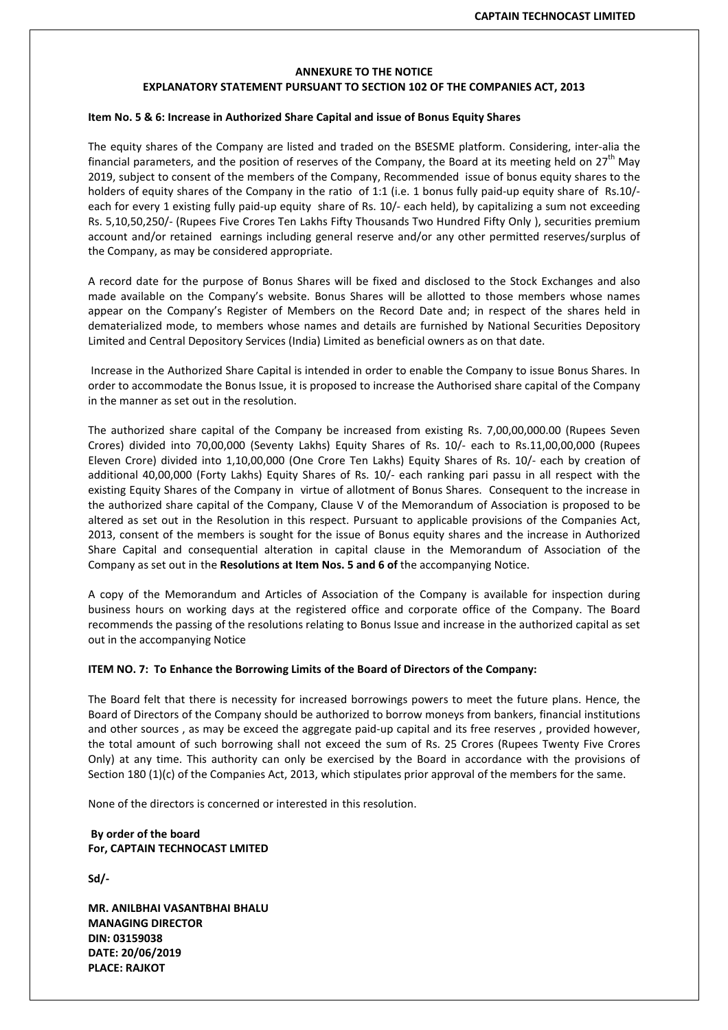# ANNEXURE TO THE NOTICE EXPLANATORY STATEMENT PURSUANT TO SECTION 102 OF THE COMPANIES ACT, 2013

### Item No. 5 & 6: Increase in Authorized Share Capital and issue of Bonus Equity Shares

The equity shares of the Company are listed and traded on the BSESME platform. Considering, inter-alia the financial parameters, and the position of reserves of the Company, the Board at its meeting held on  $27^{\text{th}}$  May 2019, subject to consent of the members of the Company, Recommended issue of bonus equity shares to the holders of equity shares of the Company in the ratio of 1:1 (i.e. 1 bonus fully paid-up equity share of Rs.10/each for every 1 existing fully paid-up equity share of Rs. 10/- each held), by capitalizing a sum not exceeding Rs. 5,10,50,250/- (Rupees Five Crores Ten Lakhs Fifty Thousands Two Hundred Fifty Only ), securities premium account and/or retained earnings including general reserve and/or any other permitted reserves/surplus of the Company, as may be considered appropriate.

A record date for the purpose of Bonus Shares will be fixed and disclosed to the Stock Exchanges and also made available on the Company's website. Bonus Shares will be allotted to those members whose names appear on the Company's Register of Members on the Record Date and; in respect of the shares held in dematerialized mode, to members whose names and details are furnished by National Securities Depository Limited and Central Depository Services (India) Limited as beneficial owners as on that date.

 Increase in the Authorized Share Capital is intended in order to enable the Company to issue Bonus Shares. In order to accommodate the Bonus Issue, it is proposed to increase the Authorised share capital of the Company in the manner as set out in the resolution.

The authorized share capital of the Company be increased from existing Rs. 7,00,00,000.00 (Rupees Seven Crores) divided into 70,00,000 (Seventy Lakhs) Equity Shares of Rs. 10/- each to Rs.11,00,00,000 (Rupees Eleven Crore) divided into 1,10,00,000 (One Crore Ten Lakhs) Equity Shares of Rs. 10/- each by creation of additional 40,00,000 (Forty Lakhs) Equity Shares of Rs. 10/- each ranking pari passu in all respect with the existing Equity Shares of the Company in virtue of allotment of Bonus Shares. Consequent to the increase in the authorized share capital of the Company, Clause V of the Memorandum of Association is proposed to be altered as set out in the Resolution in this respect. Pursuant to applicable provisions of the Companies Act, 2013, consent of the members is sought for the issue of Bonus equity shares and the increase in Authorized Share Capital and consequential alteration in capital clause in the Memorandum of Association of the Company as set out in the Resolutions at Item Nos. 5 and 6 of the accompanying Notice.

A copy of the Memorandum and Articles of Association of the Company is available for inspection during business hours on working days at the registered office and corporate office of the Company. The Board recommends the passing of the resolutions relating to Bonus Issue and increase in the authorized capital as set out in the accompanying Notice

#### ITEM NO. 7: To Enhance the Borrowing Limits of the Board of Directors of the Company:

The Board felt that there is necessity for increased borrowings powers to meet the future plans. Hence, the Board of Directors of the Company should be authorized to borrow moneys from bankers, financial institutions and other sources , as may be exceed the aggregate paid-up capital and its free reserves , provided however, the total amount of such borrowing shall not exceed the sum of Rs. 25 Crores (Rupees Twenty Five Crores Only) at any time. This authority can only be exercised by the Board in accordance with the provisions of Section 180 (1)(c) of the Companies Act, 2013, which stipulates prior approval of the members for the same.

None of the directors is concerned or interested in this resolution.

# By order of the board For, CAPTAIN TECHNOCAST LMITED

Sd/-

MR. ANILBHAI VASANTBHAI BHALU MANAGING DIRECTOR DIN: 03159038 DATE: 20/06/2019 PLACE: RAJKOT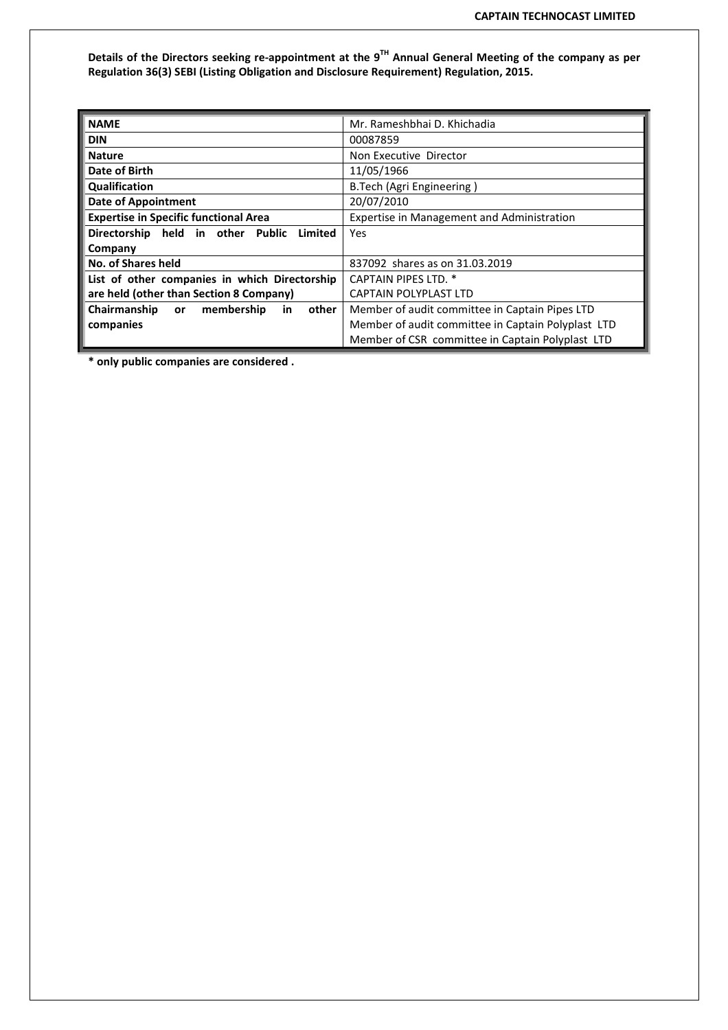Details of the Directors seeking re-appointment at the  $9^{TH}$  Annual General Meeting of the company as per Regulation 36(3) SEBI (Listing Obligation and Disclosure Requirement) Regulation, 2015.

| <b>NAME</b>                                                                                | Mr. Rameshbhai D. Khichadia                        |  |  |
|--------------------------------------------------------------------------------------------|----------------------------------------------------|--|--|
| <b>DIN</b>                                                                                 | 00087859                                           |  |  |
| <b>Nature</b>                                                                              | Non Executive Director                             |  |  |
| Date of Birth                                                                              | 11/05/1966                                         |  |  |
| Qualification<br>B.Tech (Agri Engineering)                                                 |                                                    |  |  |
| <b>Date of Appointment</b>                                                                 | 20/07/2010                                         |  |  |
| <b>Expertise in Specific functional Area</b><br>Expertise in Management and Administration |                                                    |  |  |
| Directorship held in other Public<br>Limited                                               | Yes                                                |  |  |
| Company                                                                                    |                                                    |  |  |
| <b>No. of Shares held</b>                                                                  | 837092 shares as on 31.03.2019                     |  |  |
| List of other companies in which Directorship                                              | <b>CAPTAIN PIPES LTD. *</b>                        |  |  |
| are held (other than Section 8 Company)                                                    | <b>CAPTAIN POLYPLAST LTD</b>                       |  |  |
| Chairmanship<br>membership<br>other<br><b>or</b><br>in                                     | Member of audit committee in Captain Pipes LTD     |  |  |
| companies                                                                                  | Member of audit committee in Captain Polyplast LTD |  |  |
|                                                                                            | Member of CSR committee in Captain Polyplast LTD   |  |  |

\* only public companies are considered .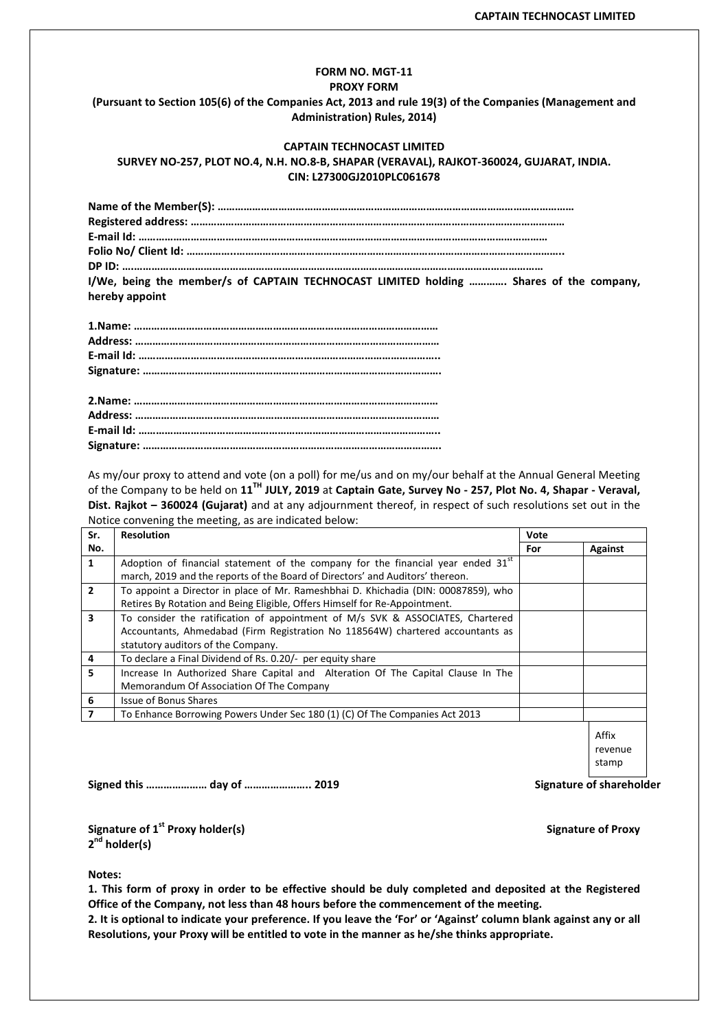# FORM NO. MGT-11 PROXY FORM (Pursuant to Section 105(6) of the Companies Act, 2013 and rule 19(3) of the Companies (Management and Administration) Rules, 2014)

# CAPTAIN TECHNOCAST LIMITED SURVEY NO-257, PLOT NO.4, N.H. NO.8-B, SHAPAR (VERAVAL), RAJKOT-360024, GUJARAT, INDIA. CIN: L27300GJ2010PLC061678

| I/We, being the member/s of CAPTAIN TECHNOCAST LIMITED holding  Shares of the company, |
|----------------------------------------------------------------------------------------|
| hereby appoint                                                                         |

As my/our proxy to attend and vote (on a poll) for me/us and on my/our behalf at the Annual General Meeting of the Company to be held on 11<sup>TH</sup> JULY, 2019 at Captain Gate, Survey No - 257, Plot No. 4, Shapar - Veraval, Dist. Rajkot - 360024 (Gujarat) and at any adjournment thereof, in respect of such resolutions set out in the Notice convening the meeting, as are indicated below:

| Sr.                     | <b>Resolution</b>                                                                            | Vote |                  |
|-------------------------|----------------------------------------------------------------------------------------------|------|------------------|
| No.                     |                                                                                              | For  | <b>Against</b>   |
| $\mathbf{1}$            | Adoption of financial statement of the company for the financial year ended 31 <sup>st</sup> |      |                  |
|                         | march, 2019 and the reports of the Board of Directors' and Auditors' thereon.                |      |                  |
| $\overline{2}$          | To appoint a Director in place of Mr. Rameshbhai D. Khichadia (DIN: 00087859), who           |      |                  |
|                         | Retires By Rotation and Being Eligible, Offers Himself for Re-Appointment.                   |      |                  |
| $\overline{\mathbf{3}}$ | To consider the ratification of appointment of M/s SVK & ASSOCIATES, Chartered               |      |                  |
|                         | Accountants, Ahmedabad (Firm Registration No 118564W) chartered accountants as               |      |                  |
|                         | statutory auditors of the Company.                                                           |      |                  |
| 4                       | To declare a Final Dividend of Rs. 0.20/- per equity share                                   |      |                  |
| 5                       | Increase In Authorized Share Capital and Alteration Of The Capital Clause In The             |      |                  |
|                         | Memorandum Of Association Of The Company                                                     |      |                  |
| 6                       | <b>Issue of Bonus Shares</b>                                                                 |      |                  |
| $\overline{7}$          | To Enhance Borrowing Powers Under Sec 180 (1) (C) Of The Companies Act 2013                  |      |                  |
|                         |                                                                                              |      | Affix<br>revenue |
|                         |                                                                                              |      | stamn            |

Signed this …………………… day of …………………… 2019 Signature of shareholder

Signature of 1<sup>st</sup> Proxy holder(s) Signature of Proxy 2<sup>nd</sup> holder(s)

Notes:

1. This form of proxy in order to be effective should be duly completed and deposited at the Registered Office of the Company, not less than 48 hours before the commencement of the meeting.

2. It is optional to indicate your preference. If you leave the 'For' or 'Against' column blank against any or all Resolutions, your Proxy will be entitled to vote in the manner as he/she thinks appropriate.